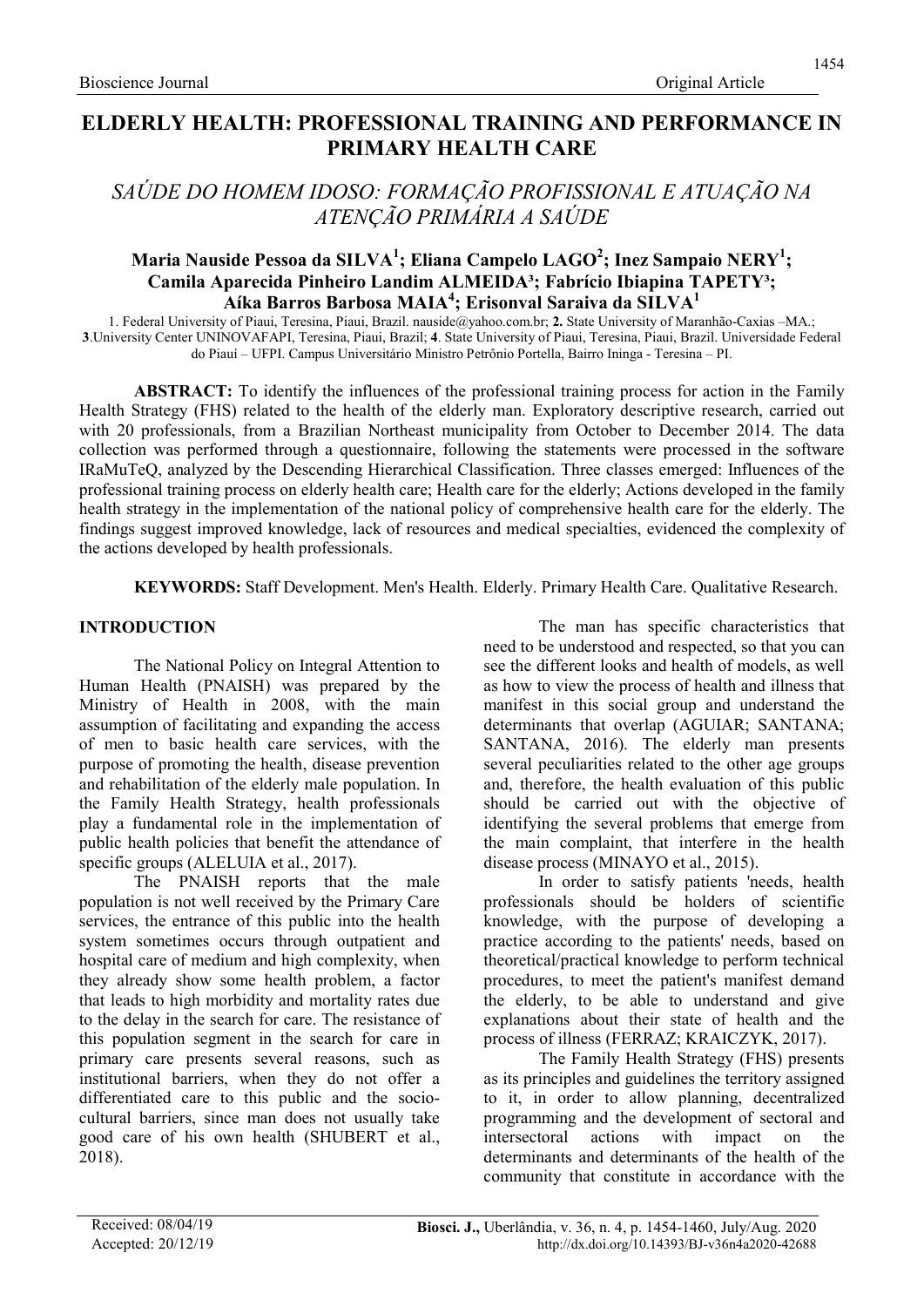## ELDERLY HEALTH: PROFESSIONAL TRAINING AND PERFORMANCE IN PRIMARY HEALTH CARE

# SAÚDE DO HOMEM IDOSO: FORMAÇÃO PROFISSIONAL E ATUAÇÃO NA ATENÇÃO PRIMÁRIA A SAÚDE

### Maria Nauside Pessoa da SILVA $^{\rm l}$ ; Eliana Campelo LAGO $^{\rm 2}$ ; Inez Sampaio NERY $^{\rm l}$ ; Camila Aparecida Pinheiro Landim ALMEIDA<sup>3</sup>; Fabrício Ibiapina TAPETY<sup>3</sup>;  $\widehat{\bf{A}}$ íka Barros Barbosa MAIA<sup>4</sup>; Erisonval Saraiva da SILVA<sup>1</sup>

1. Federal University of Piaui, Teresina, Piaui, Brazil. nauside@yahoo.com.br; 2. State University of Maranhão-Caxias –MA.; 3.University Center UNINOVAFAPI, Teresina, Piaui, Brazil; 4. State University of Piaui, Teresina, Piaui, Brazil. Universidade Federal do Piauí – UFPI. Campus Universitário Ministro Petrônio Portella, Bairro Ininga - Teresina – PI.

ABSTRACT: To identify the influences of the professional training process for action in the Family Health Strategy (FHS) related to the health of the elderly man. Exploratory descriptive research, carried out with 20 professionals, from a Brazilian Northeast municipality from October to December 2014. The data collection was performed through a questionnaire, following the statements were processed in the software IRaMuTeQ, analyzed by the Descending Hierarchical Classification. Three classes emerged: Influences of the professional training process on elderly health care; Health care for the elderly; Actions developed in the family health strategy in the implementation of the national policy of comprehensive health care for the elderly. The findings suggest improved knowledge, lack of resources and medical specialties, evidenced the complexity of the actions developed by health professionals.

KEYWORDS: Staff Development. Men's Health. Elderly. Primary Health Care. Qualitative Research.

### INTRODUCTION

The National Policy on Integral Attention to Human Health (PNAISH) was prepared by the Ministry of Health in 2008, with the main assumption of facilitating and expanding the access of men to basic health care services, with the purpose of promoting the health, disease prevention and rehabilitation of the elderly male population. In the Family Health Strategy, health professionals play a fundamental role in the implementation of public health policies that benefit the attendance of specific groups (ALELUIA et al., 2017).

The PNAISH reports that the male population is not well received by the Primary Care services, the entrance of this public into the health system sometimes occurs through outpatient and hospital care of medium and high complexity, when they already show some health problem, a factor that leads to high morbidity and mortality rates due to the delay in the search for care. The resistance of this population segment in the search for care in primary care presents several reasons, such as institutional barriers, when they do not offer a differentiated care to this public and the sociocultural barriers, since man does not usually take good care of his own health (SHUBERT et al., 2018).

The man has specific characteristics that need to be understood and respected, so that you can see the different looks and health of models, as well as how to view the process of health and illness that manifest in this social group and understand the determinants that overlap (AGUIAR; SANTANA; SANTANA, 2016). The elderly man presents several peculiarities related to the other age groups and, therefore, the health evaluation of this public should be carried out with the objective of identifying the several problems that emerge from the main complaint, that interfere in the health disease process (MINAYO et al., 2015).

In order to satisfy patients 'needs, health professionals should be holders of scientific knowledge, with the purpose of developing a practice according to the patients' needs, based on theoretical/practical knowledge to perform technical procedures, to meet the patient's manifest demand the elderly, to be able to understand and give explanations about their state of health and the process of illness (FERRAZ; KRAICZYK, 2017).

The Family Health Strategy (FHS) presents as its principles and guidelines the territory assigned to it, in order to allow planning, decentralized programming and the development of sectoral and intersectoral actions with impact on the determinants and determinants of the health of the community that constitute in accordance with the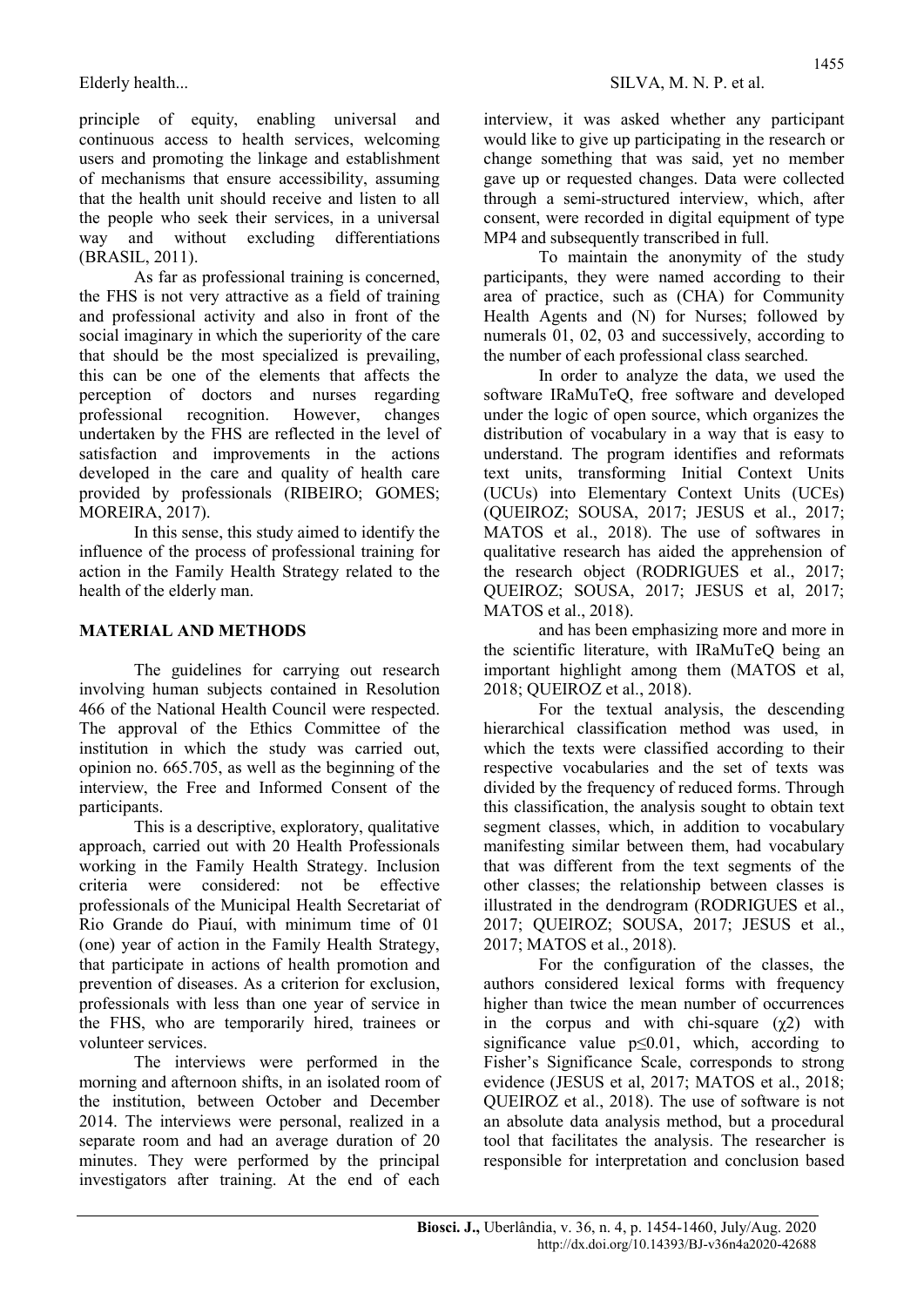principle of equity, enabling universal and continuous access to health services, welcoming users and promoting the linkage and establishment of mechanisms that ensure accessibility, assuming that the health unit should receive and listen to all the people who seek their services, in a universal way and without excluding differentiations (BRASIL, 2011).

As far as professional training is concerned, the FHS is not very attractive as a field of training and professional activity and also in front of the social imaginary in which the superiority of the care that should be the most specialized is prevailing, this can be one of the elements that affects the perception of doctors and nurses regarding professional recognition. However, changes undertaken by the FHS are reflected in the level of satisfaction and improvements in the actions developed in the care and quality of health care provided by professionals (RIBEIRO; GOMES; MOREIRA, 2017).

In this sense, this study aimed to identify the influence of the process of professional training for action in the Family Health Strategy related to the health of the elderly man.

### MATERIAL AND METHODS

The guidelines for carrying out research involving human subjects contained in Resolution 466 of the National Health Council were respected. The approval of the Ethics Committee of the institution in which the study was carried out, opinion no. 665.705, as well as the beginning of the interview, the Free and Informed Consent of the participants.

This is a descriptive, exploratory, qualitative approach, carried out with 20 Health Professionals working in the Family Health Strategy. Inclusion criteria were considered: not be effective professionals of the Municipal Health Secretariat of Rio Grande do Piauí, with minimum time of 01 (one) year of action in the Family Health Strategy, that participate in actions of health promotion and prevention of diseases. As a criterion for exclusion, professionals with less than one year of service in the FHS, who are temporarily hired, trainees or volunteer services.

The interviews were performed in the morning and afternoon shifts, in an isolated room of the institution, between October and December 2014. The interviews were personal, realized in a separate room and had an average duration of 20 minutes. They were performed by the principal investigators after training. At the end of each interview, it was asked whether any participant would like to give up participating in the research or change something that was said, yet no member gave up or requested changes. Data were collected through a semi-structured interview, which, after consent, were recorded in digital equipment of type MP4 and subsequently transcribed in full.

To maintain the anonymity of the study participants, they were named according to their area of practice, such as (CHA) for Community Health Agents and (N) for Nurses; followed by numerals 01, 02, 03 and successively, according to the number of each professional class searched.

In order to analyze the data, we used the software IRaMuTeQ, free software and developed under the logic of open source, which organizes the distribution of vocabulary in a way that is easy to understand. The program identifies and reformats text units, transforming Initial Context Units (UCUs) into Elementary Context Units (UCEs) (QUEIROZ; SOUSA, 2017; JESUS et al., 2017; MATOS et al., 2018). The use of softwares in qualitative research has aided the apprehension of the research object (RODRIGUES et al., 2017; QUEIROZ; SOUSA, 2017; JESUS et al, 2017; MATOS et al., 2018).

and has been emphasizing more and more in the scientific literature, with IRaMuTeQ being an important highlight among them (MATOS et al, 2018; QUEIROZ et al., 2018).

For the textual analysis, the descending hierarchical classification method was used, in which the texts were classified according to their respective vocabularies and the set of texts was divided by the frequency of reduced forms. Through this classification, the analysis sought to obtain text segment classes, which, in addition to vocabulary manifesting similar between them, had vocabulary that was different from the text segments of the other classes; the relationship between classes is illustrated in the dendrogram (RODRIGUES et al., 2017; QUEIROZ; SOUSA, 2017; JESUS et al., 2017; MATOS et al., 2018).

For the configuration of the classes, the authors considered lexical forms with frequency higher than twice the mean number of occurrences in the corpus and with chi-square  $(\gamma 2)$  with significance value  $p \le 0.01$ , which, according to Fisher's Significance Scale, corresponds to strong evidence (JESUS et al, 2017; MATOS et al., 2018; QUEIROZ et al., 2018). The use of software is not an absolute data analysis method, but a procedural tool that facilitates the analysis. The researcher is responsible for interpretation and conclusion based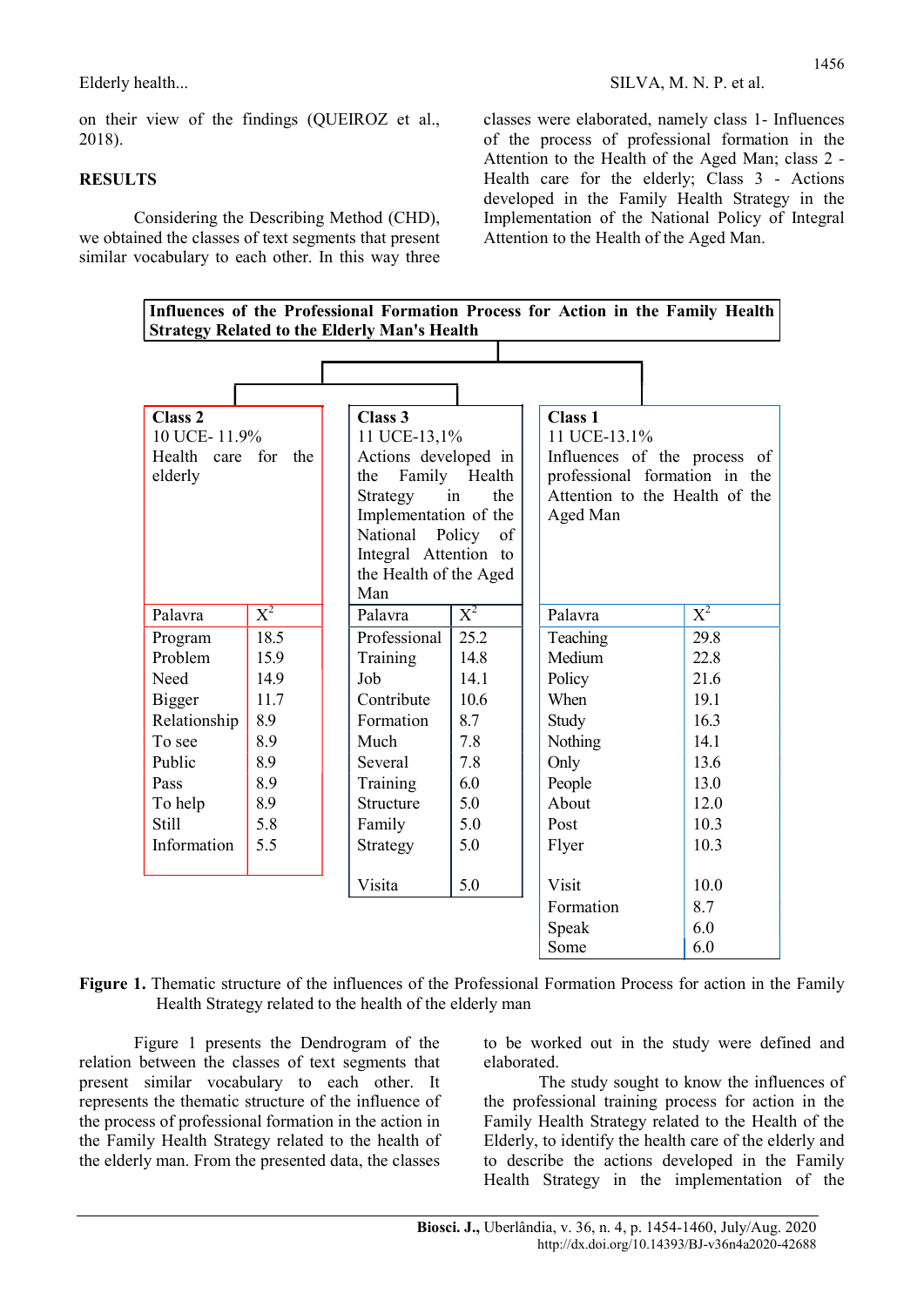on their view of the findings (QUEIROZ et al., 2018).

### **RESULTS**

Considering the Describing Method (CHD), we obtained the classes of text segments that present similar vocabulary to each other. In this way three classes were elaborated, namely class 1- Influences of the process of professional formation in the Attention to the Health of the Aged Man; class 2 - Health care for the elderly; Class 3 - Actions developed in the Family Health Strategy in the Implementation of the National Policy of Integral Attention to the Health of the Aged Man.

| Influences of the Professional Formation Process for Action in the Family Health<br><b>Strategy Related to the Elderly Man's Health</b> |       |                        |                         |  |                                |                  |  |
|-----------------------------------------------------------------------------------------------------------------------------------------|-------|------------------------|-------------------------|--|--------------------------------|------------------|--|
|                                                                                                                                         |       |                        |                         |  |                                |                  |  |
|                                                                                                                                         |       |                        |                         |  |                                |                  |  |
|                                                                                                                                         |       |                        |                         |  |                                |                  |  |
| <b>Class 2</b><br>10 UCE-11.9%                                                                                                          |       | Class 3                | 11 UCE-13,1%            |  | <b>Class 1</b><br>11 UCE-13.1% |                  |  |
| care for the<br>Health                                                                                                                  |       |                        | Actions developed in    |  | Influences of the process of   |                  |  |
| elderly                                                                                                                                 |       |                        | Family<br>Health<br>the |  | professional formation in the  |                  |  |
|                                                                                                                                         |       | Strategy               | the<br>in               |  | Attention to the Health of the |                  |  |
|                                                                                                                                         |       | Implementation of the  |                         |  | Aged Man                       |                  |  |
|                                                                                                                                         |       | National               | Policy<br>of            |  |                                |                  |  |
|                                                                                                                                         |       | Integral Attention to  |                         |  |                                |                  |  |
|                                                                                                                                         |       | the Health of the Aged |                         |  |                                |                  |  |
|                                                                                                                                         |       | Man                    |                         |  |                                |                  |  |
| Palavra                                                                                                                                 | $X^2$ | Palavra                | $\overline{X^2}$        |  | Palavra                        | $\overline{X^2}$ |  |
| Program                                                                                                                                 | 18.5  | Professional           | 25.2                    |  | Teaching                       | 29.8             |  |
| Problem                                                                                                                                 | 15.9  | Training               | 14.8                    |  | Medium                         | 22.8             |  |
| Need                                                                                                                                    | 14.9  | Job                    | 14.1                    |  | Policy                         | 21.6             |  |
| Bigger                                                                                                                                  | 11.7  | Contribute             | 10.6                    |  | When                           | 19.1             |  |
| Relationship                                                                                                                            | 8.9   | Formation              | 8.7                     |  | Study                          | 16.3             |  |
| To see                                                                                                                                  | 8.9   | Much                   | 7.8                     |  | Nothing                        | 14.1             |  |
| Public                                                                                                                                  | 8.9   | Several                | 7.8                     |  | Only                           | 13.6             |  |
| Pass                                                                                                                                    | 8.9   | Training               | 6.0                     |  | People                         | 13.0             |  |
| To help                                                                                                                                 | 8.9   | Structure              | 5.0                     |  | About                          | 12.0             |  |
| <b>Still</b>                                                                                                                            | 5.8   | Family                 | 5.0                     |  | Post                           | 10.3             |  |
| Information                                                                                                                             | 5.5   | Strategy               | 5.0                     |  | Flyer                          | 10.3             |  |
|                                                                                                                                         |       |                        |                         |  |                                |                  |  |
|                                                                                                                                         |       | Visita                 | 5.0                     |  | Visit                          | 10.0             |  |
|                                                                                                                                         |       |                        |                         |  | Formation                      | 8.7              |  |
|                                                                                                                                         |       |                        |                         |  | Speak                          | 6.0              |  |
|                                                                                                                                         |       |                        |                         |  | Some                           | 6.0              |  |

Figure 1. Thematic structure of the influences of the Professional Formation Process for action in the Family Health Strategy related to the health of the elderly man

Figure 1 presents the Dendrogram of the relation between the classes of text segments that present similar vocabulary to each other. It represents the thematic structure of the influence of the process of professional formation in the action in the Family Health Strategy related to the health of the elderly man. From the presented data, the classes to be worked out in the study were defined and elaborated.

The study sought to know the influences of the professional training process for action in the Family Health Strategy related to the Health of the Elderly, to identify the health care of the elderly and to describe the actions developed in the Family Health Strategy in the implementation of the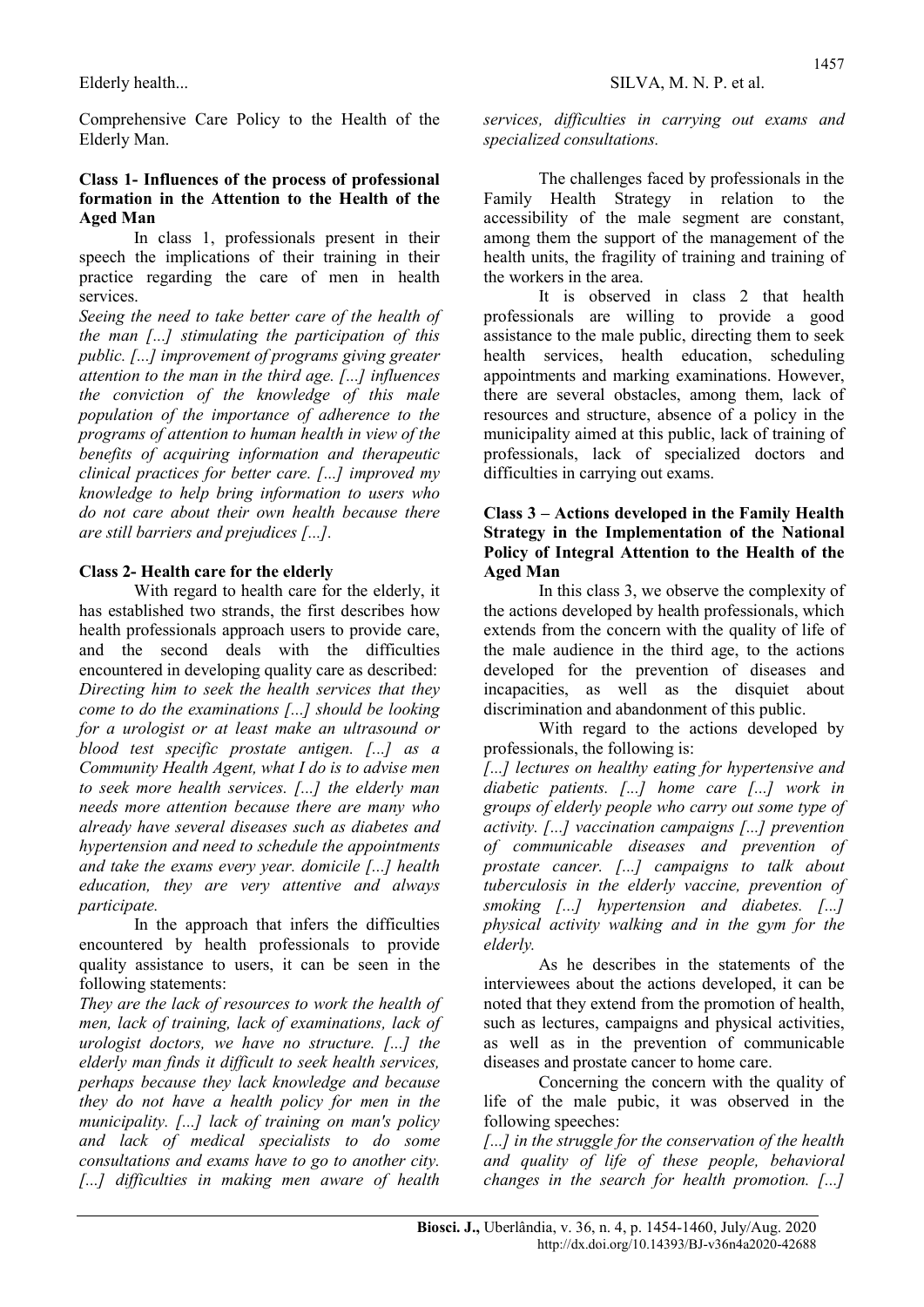Comprehensive Care Policy to the Health of the Elderly Man.

#### Class 1- Influences of the process of professional formation in the Attention to the Health of the Aged Man

In class 1, professionals present in their speech the implications of their training in their practice regarding the care of men in health services.

Seeing the need to take better care of the health of the man  $\left[\ldots\right]$  stimulating the participation of this public. [...] improvement of programs giving greater attention to the man in the third age. [...] influences the conviction of the knowledge of this male population of the importance of adherence to the programs of attention to human health in view of the benefits of acquiring information and therapeutic clinical practices for better care. [...] improved my knowledge to help bring information to users who do not care about their own health because there are still barriers and prejudices [...].

### Class 2- Health care for the elderly

With regard to health care for the elderly, it has established two strands, the first describes how health professionals approach users to provide care, and the second deals with the difficulties encountered in developing quality care as described: Directing him to seek the health services that they come to do the examinations [...] should be looking for a urologist or at least make an ultrasound or blood test specific prostate antigen. [...] as a Community Health Agent, what I do is to advise men to seek more health services. [...] the elderly man needs more attention because there are many who already have several diseases such as diabetes and hypertension and need to schedule the appointments and take the exams every year. domicile [...] health education, they are very attentive and always participate.

 In the approach that infers the difficulties encountered by health professionals to provide quality assistance to users, it can be seen in the following statements:

They are the lack of resources to work the health of men, lack of training, lack of examinations, lack of urologist doctors, we have no structure. [...] the elderly man finds it difficult to seek health services, perhaps because they lack knowledge and because they do not have a health policy for men in the municipality. [...] lack of training on man's policy and lack of medical specialists to do some consultations and exams have to go to another city. [...] difficulties in making men aware of health

services, difficulties in carrying out exams and specialized consultations.

The challenges faced by professionals in the Family Health Strategy in relation to the accessibility of the male segment are constant, among them the support of the management of the health units, the fragility of training and training of the workers in the area.

It is observed in class 2 that health professionals are willing to provide a good assistance to the male public, directing them to seek health services, health education, scheduling appointments and marking examinations. However, there are several obstacles, among them, lack of resources and structure, absence of a policy in the municipality aimed at this public, lack of training of professionals, lack of specialized doctors and difficulties in carrying out exams.

#### Class 3 – Actions developed in the Family Health Strategy in the Implementation of the National Policy of Integral Attention to the Health of the Aged Man

In this class 3, we observe the complexity of the actions developed by health professionals, which extends from the concern with the quality of life of the male audience in the third age, to the actions developed for the prevention of diseases and incapacities, as well as the disquiet about discrimination and abandonment of this public.

With regard to the actions developed by professionals, the following is:

[...] lectures on healthy eating for hypertensive and diabetic patients. [...] home care [...] work in groups of elderly people who carry out some type of activity. [...] vaccination campaigns [...] prevention of communicable diseases and prevention of prostate cancer. [...] campaigns to talk about tuberculosis in the elderly vaccine, prevention of smoking [...] hypertension and diabetes. [...] physical activity walking and in the gym for the elderly.

As he describes in the statements of the interviewees about the actions developed, it can be noted that they extend from the promotion of health, such as lectures, campaigns and physical activities, as well as in the prevention of communicable diseases and prostate cancer to home care.

Concerning the concern with the quality of life of the male pubic, it was observed in the following speeches:

[...] in the struggle for the conservation of the health and quality of life of these people, behavioral changes in the search for health promotion. [...]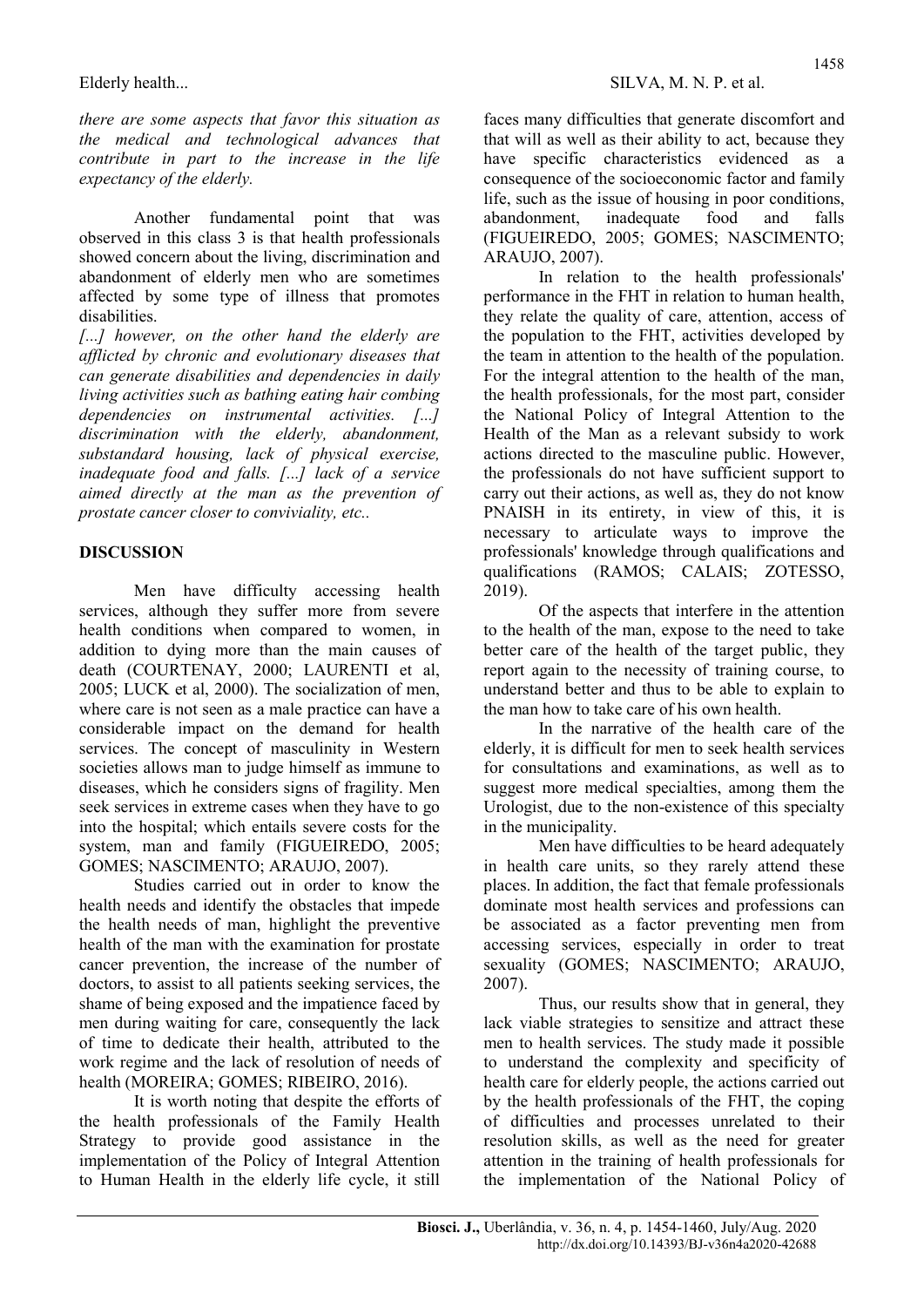there are some aspects that favor this situation as the medical and technological advances that contribute in part to the increase in the life expectancy of the elderly.

Another fundamental point that was observed in this class 3 is that health professionals showed concern about the living, discrimination and abandonment of elderly men who are sometimes affected by some type of illness that promotes disabilities.

[...] however, on the other hand the elderly are afflicted by chronic and evolutionary diseases that can generate disabilities and dependencies in daily living activities such as bathing eating hair combing dependencies on instrumental activities. [...] discrimination with the elderly, abandonment, substandard housing, lack of physical exercise, inadequate food and falls. [...] lack of a service aimed directly at the man as the prevention of prostate cancer closer to conviviality, etc..

### DISCUSSION

Men have difficulty accessing health services, although they suffer more from severe health conditions when compared to women, in addition to dying more than the main causes of death (COURTENAY, 2000; LAURENTI et al, 2005; LUCK et al, 2000). The socialization of men, where care is not seen as a male practice can have a considerable impact on the demand for health services. The concept of masculinity in Western societies allows man to judge himself as immune to diseases, which he considers signs of fragility. Men seek services in extreme cases when they have to go into the hospital; which entails severe costs for the system, man and family (FIGUEIREDO, 2005; GOMES; NASCIMENTO; ARAUJO, 2007).

Studies carried out in order to know the health needs and identify the obstacles that impede the health needs of man, highlight the preventive health of the man with the examination for prostate cancer prevention, the increase of the number of doctors, to assist to all patients seeking services, the shame of being exposed and the impatience faced by men during waiting for care, consequently the lack of time to dedicate their health, attributed to the work regime and the lack of resolution of needs of health (MOREIRA; GOMES; RIBEIRO, 2016).

It is worth noting that despite the efforts of the health professionals of the Family Health Strategy to provide good assistance in the implementation of the Policy of Integral Attention to Human Health in the elderly life cycle, it still faces many difficulties that generate discomfort and that will as well as their ability to act, because they have specific characteristics evidenced as a consequence of the socioeconomic factor and family life, such as the issue of housing in poor conditions, abandonment, inadequate food and falls (FIGUEIREDO, 2005; GOMES; NASCIMENTO; ARAUJO, 2007).

In relation to the health professionals' performance in the FHT in relation to human health, they relate the quality of care, attention, access of the population to the FHT, activities developed by the team in attention to the health of the population. For the integral attention to the health of the man, the health professionals, for the most part, consider the National Policy of Integral Attention to the Health of the Man as a relevant subsidy to work actions directed to the masculine public. However, the professionals do not have sufficient support to carry out their actions, as well as, they do not know PNAISH in its entirety, in view of this, it is necessary to articulate ways to improve the professionals' knowledge through qualifications and qualifications (RAMOS; CALAIS; ZOTESSO, 2019).

Of the aspects that interfere in the attention to the health of the man, expose to the need to take better care of the health of the target public, they report again to the necessity of training course, to understand better and thus to be able to explain to the man how to take care of his own health.

In the narrative of the health care of the elderly, it is difficult for men to seek health services for consultations and examinations, as well as to suggest more medical specialties, among them the Urologist, due to the non-existence of this specialty in the municipality.

Men have difficulties to be heard adequately in health care units, so they rarely attend these places. In addition, the fact that female professionals dominate most health services and professions can be associated as a factor preventing men from accessing services, especially in order to treat sexuality (GOMES; NASCIMENTO; ARAUJO, 2007).

Thus, our results show that in general, they lack viable strategies to sensitize and attract these men to health services. The study made it possible to understand the complexity and specificity of health care for elderly people, the actions carried out by the health professionals of the FHT, the coping of difficulties and processes unrelated to their resolution skills, as well as the need for greater attention in the training of health professionals for the implementation of the National Policy of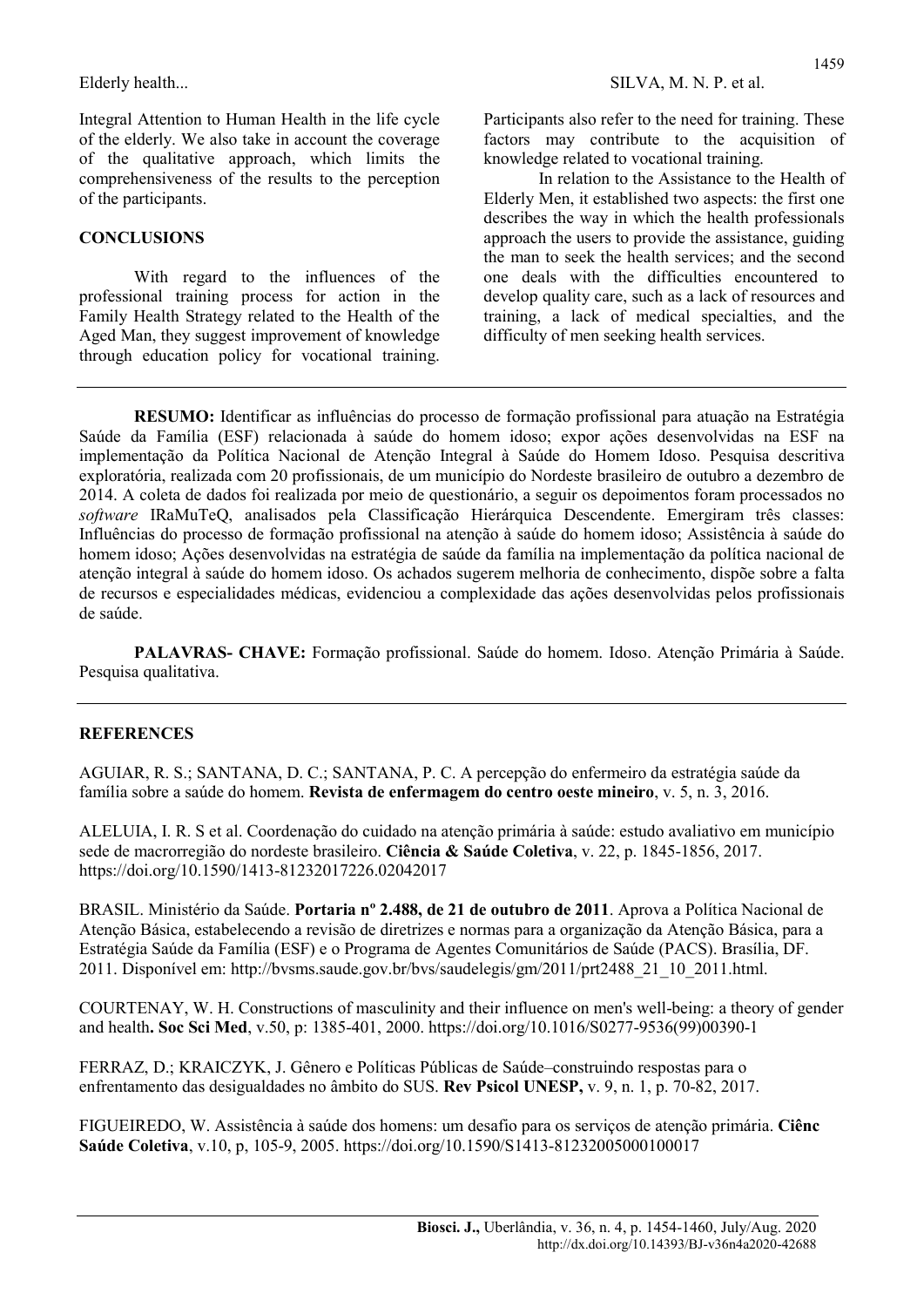Integral Attention to Human Health in the life cycle of the elderly. We also take in account the coverage of the qualitative approach, which limits the comprehensiveness of the results to the perception of the participants.

#### **CONCLUSIONS**

With regard to the influences of the professional training process for action in the Family Health Strategy related to the Health of the Aged Man, they suggest improvement of knowledge through education policy for vocational training. Participants also refer to the need for training. These factors may contribute to the acquisition of knowledge related to vocational training.

In relation to the Assistance to the Health of Elderly Men, it established two aspects: the first one describes the way in which the health professionals approach the users to provide the assistance, guiding the man to seek the health services; and the second one deals with the difficulties encountered to develop quality care, such as a lack of resources and training, a lack of medical specialties, and the difficulty of men seeking health services.

RESUMO: Identificar as influências do processo de formação profissional para atuação na Estratégia Saúde da Família (ESF) relacionada à saúde do homem idoso; expor ações desenvolvidas na ESF na implementação da Política Nacional de Atenção Integral à Saúde do Homem Idoso. Pesquisa descritiva exploratória, realizada com 20 profissionais, de um município do Nordeste brasileiro de outubro a dezembro de 2014. A coleta de dados foi realizada por meio de questionário, a seguir os depoimentos foram processados no software IRaMuTeQ, analisados pela Classificação Hierárquica Descendente. Emergiram três classes: Influências do processo de formação profissional na atenção à saúde do homem idoso; Assistência à saúde do homem idoso; Ações desenvolvidas na estratégia de saúde da família na implementação da política nacional de atenção integral à saúde do homem idoso. Os achados sugerem melhoria de conhecimento, dispõe sobre a falta de recursos e especialidades médicas, evidenciou a complexidade das ações desenvolvidas pelos profissionais de saúde.

PALAVRAS- CHAVE: Formação profissional. Saúde do homem. Idoso. Atenção Primária à Saúde. Pesquisa qualitativa.

#### **REFERENCES**

AGUIAR, R. S.; SANTANA, D. C.; SANTANA, P. C. A percepção do enfermeiro da estratégia saúde da família sobre a saúde do homem. Revista de enfermagem do centro oeste mineiro, v. 5, n. 3, 2016.

ALELUIA, I. R. S et al. Coordenação do cuidado na atenção primária à saúde: estudo avaliativo em município sede de macrorregião do nordeste brasileiro. Ciência & Saúde Coletiva, v. 22, p. 1845-1856, 2017. https://doi.org/10.1590/1413-81232017226.02042017

BRASIL. Ministério da Saúde. Portaria nº 2.488, de 21 de outubro de 2011. Aprova a Política Nacional de Atenção Básica, estabelecendo a revisão de diretrizes e normas para a organização da Atenção Básica, para a Estratégia Saúde da Família (ESF) e o Programa de Agentes Comunitários de Saúde (PACS). Brasília, DF. 2011. Disponível em: http://bvsms.saude.gov.br/bvs/saudelegis/gm/2011/prt2488\_21\_10\_2011.html.

COURTENAY, W. H. Constructions of masculinity and their influence on men's well-being: a theory of gender and health. Soc Sci Med, v.50, p: 1385-401, 2000. https://doi.org/10.1016/S0277-9536(99)00390-1

FERRAZ, D.; KRAICZYK, J. Gênero e Políticas Públicas de Saúde–construindo respostas para o enfrentamento das desigualdades no âmbito do SUS. Rev Psicol UNESP, v. 9, n. 1, p. 70-82, 2017.

FIGUEIREDO, W. Assistência à saúde dos homens: um desafio para os serviços de atenção primária. Ciênc Saúde Coletiva, v.10, p, 105-9, 2005. https://doi.org/10.1590/S1413-81232005000100017